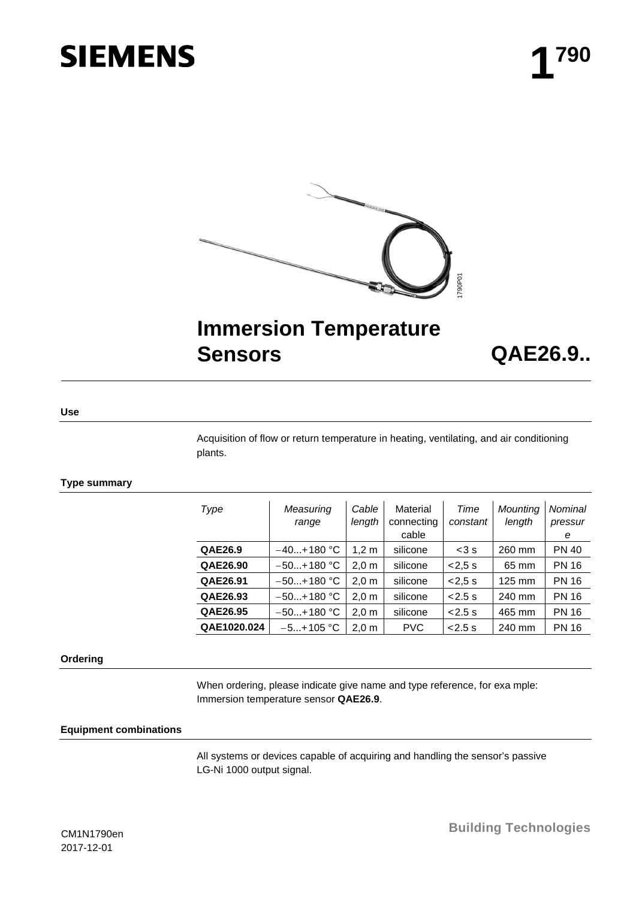# **SIEMENS**



## **Immersion Temperature Sensors QAE26.9..**

**Use**

Acquisition of flow or return temperature in heating, ventilating, and air conditioning plants.

#### **Type summary**

| Type        | Measuring<br>range | Cable<br>length  | Material<br>connecting<br>cable | Time<br>constant | Mounting<br>length | Nominal<br>pressur<br>е |
|-------------|--------------------|------------------|---------------------------------|------------------|--------------------|-------------------------|
| QAE26.9     | $-40+180$ °C       | 1.2 m            | silicone                        | $<$ 3 $s$        | 260 mm             | <b>PN 40</b>            |
| QAE26.90    | $-50+180$ °C       | 2.0 <sub>m</sub> | silicone                        | < 2.5 s          | 65 mm              | <b>PN 16</b>            |
| QAE26.91    | $-50+180$ °C       | 2.0 <sub>m</sub> | silicone                        | < 2.5 s          | 125 mm             | <b>PN 16</b>            |
| QAE26.93    | $-50+180$ °C       | 2.0 <sub>m</sub> | silicone                        | < 2.5 s          | 240 mm             | <b>PN 16</b>            |
| QAE26.95    | $-50+180$ °C       | $2,0 \text{ m}$  | silicone                        | < 2.5 s          | 465 mm             | <b>PN 16</b>            |
| QAE1020.024 | $-5+105$ °C        | 2.0 <sub>m</sub> | <b>PVC</b>                      | < 2.5 s          | 240 mm             | <b>PN 16</b>            |

#### **Ordering**

When ordering, please indicate give name and type reference, for exa mple: Immersion temperature sensor **QAE26.9**.

#### **Equipment combinations**

All systems or devices capable of acquiring and handling the sensor's passive LG-Ni 1000 output signal.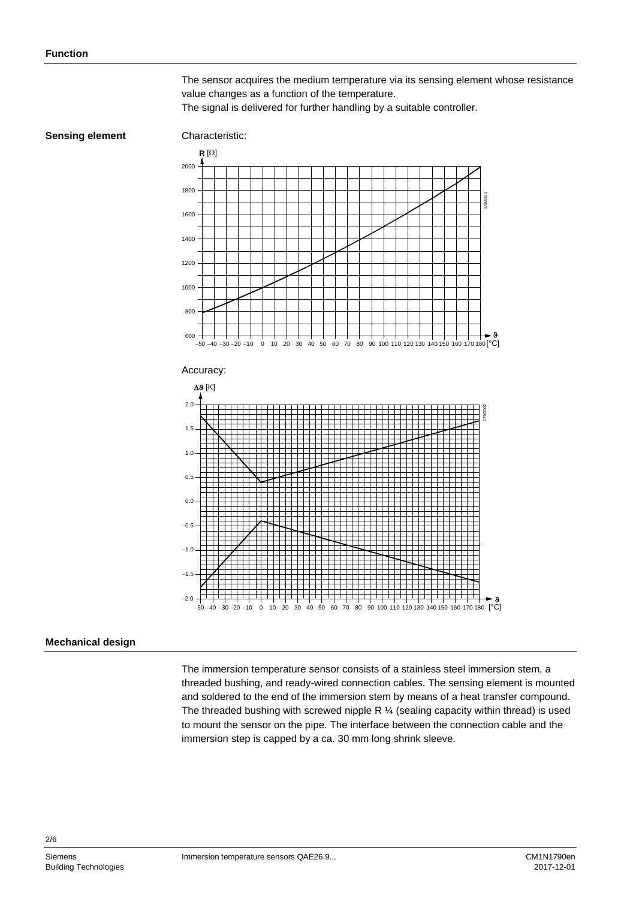The sensor acquires the medium temperature via its sensing element whose resistance value changes as a function of the temperature.

The signal is delivered for further handling by a suitable controller.

#### **Sensing element**

### Characteristic:



#### **Mechanical design**

The immersion temperature sensor consists of a stainless steel immersion stem, a threaded bushing, and ready-wired connection cables. The sensing element is mounted and soldered to the end of the immersion stem by means of a heat transfer compound. The threaded bushing with screwed nipple R  $\frac{1}{4}$  (sealing capacity within thread) is used to mount the sensor on the pipe. The interface between the connection cable and the immersion step is capped by a ca. 30 mm long shrink sleeve.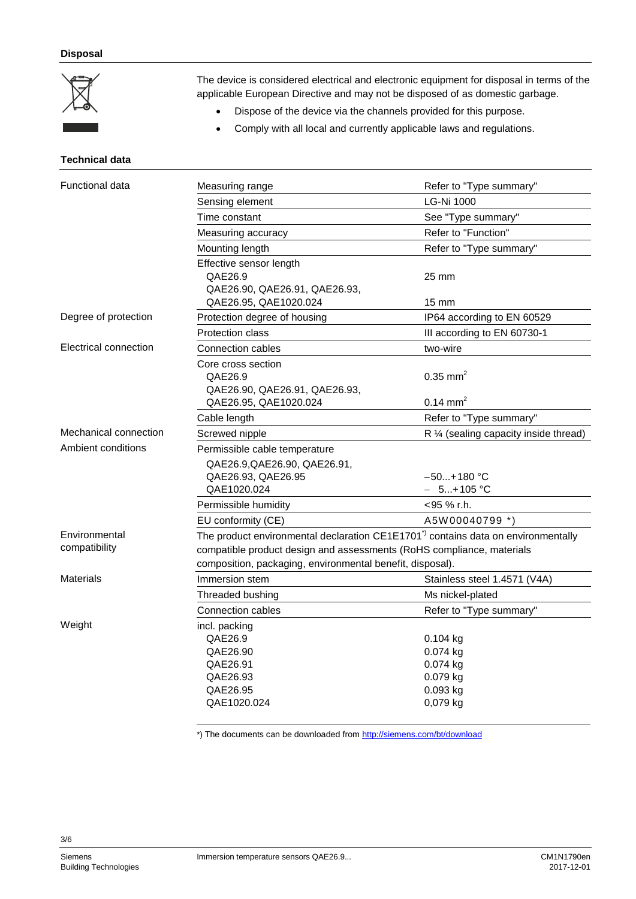#### **Disposal**



The device is considered electrical and electronic equipment for disposal in terms of the applicable European Directive and may not be disposed of as domestic garbage.

- Dispose of the device via the channels provided for this purpose.
- Comply with all local and currently applicable laws and regulations.

#### **Technical data**

| <b>Functional data</b>         | Measuring range                                                                                                                                                                                                                    | Refer to "Type summary"                                      |  |
|--------------------------------|------------------------------------------------------------------------------------------------------------------------------------------------------------------------------------------------------------------------------------|--------------------------------------------------------------|--|
|                                | Sensing element                                                                                                                                                                                                                    | <b>LG-Ni 1000</b>                                            |  |
|                                | Time constant                                                                                                                                                                                                                      | See "Type summary"                                           |  |
|                                | Measuring accuracy                                                                                                                                                                                                                 | Refer to "Function"                                          |  |
|                                | Mounting length                                                                                                                                                                                                                    | Refer to "Type summary"                                      |  |
|                                | Effective sensor length<br>QAE26.9<br>QAE26.90, QAE26.91, QAE26.93,                                                                                                                                                                | 25 mm                                                        |  |
|                                | QAE26.95, QAE1020.024                                                                                                                                                                                                              | $15 \text{ mm}$                                              |  |
| Degree of protection           | Protection degree of housing                                                                                                                                                                                                       | IP64 according to EN 60529                                   |  |
|                                | <b>Protection class</b>                                                                                                                                                                                                            | III according to EN 60730-1                                  |  |
| Electrical connection          | Connection cables                                                                                                                                                                                                                  | two-wire                                                     |  |
|                                | Core cross section<br>QAE26.9<br>QAE26.90, QAE26.91, QAE26.93,                                                                                                                                                                     | $0.35$ mm <sup>2</sup>                                       |  |
|                                | QAE26.95, QAE1020.024                                                                                                                                                                                                              | $0.14 \text{ mm}^2$                                          |  |
|                                | Cable length                                                                                                                                                                                                                       | Refer to "Type summary"                                      |  |
| Mechanical connection          | Screwed nipple                                                                                                                                                                                                                     | $R$ % (sealing capacity inside thread)                       |  |
| Ambient conditions             | Permissible cable temperature                                                                                                                                                                                                      |                                                              |  |
|                                | QAE26.9, QAE26.90, QAE26.91,                                                                                                                                                                                                       |                                                              |  |
|                                | QAE26.93, QAE26.95                                                                                                                                                                                                                 | $-50+180$ °C                                                 |  |
|                                | QAE1020.024                                                                                                                                                                                                                        | $-5+105$ °C                                                  |  |
|                                | Permissible humidity                                                                                                                                                                                                               | <95 % r.h.                                                   |  |
|                                | EU conformity (CE)                                                                                                                                                                                                                 | A5W00040799 *)                                               |  |
| Environmental<br>compatibility | The product environmental declaration CE1E1701 <sup>*</sup> contains data on environmentally<br>compatible product design and assessments (RoHS compliance, materials<br>composition, packaging, environmental benefit, disposal). |                                                              |  |
| <b>Materials</b>               | Immersion stem                                                                                                                                                                                                                     | Stainless steel 1.4571 (V4A)                                 |  |
|                                | Threaded bushing                                                                                                                                                                                                                   | Ms nickel-plated                                             |  |
|                                | Connection cables                                                                                                                                                                                                                  | Refer to "Type summary"                                      |  |
| Weight                         | incl. packing<br>QAE26.9<br>QAE26.90<br>QAE26.91<br>QAE26.93<br>QAE26.95                                                                                                                                                           | $0.104$ kg<br>0.074 kg<br>0.074 kg<br>0.079 kg<br>$0.093$ kg |  |
|                                | QAE1020.024                                                                                                                                                                                                                        | 0,079 kg                                                     |  |

\*) The documents can be downloaded from<http://siemens.com/bt/download>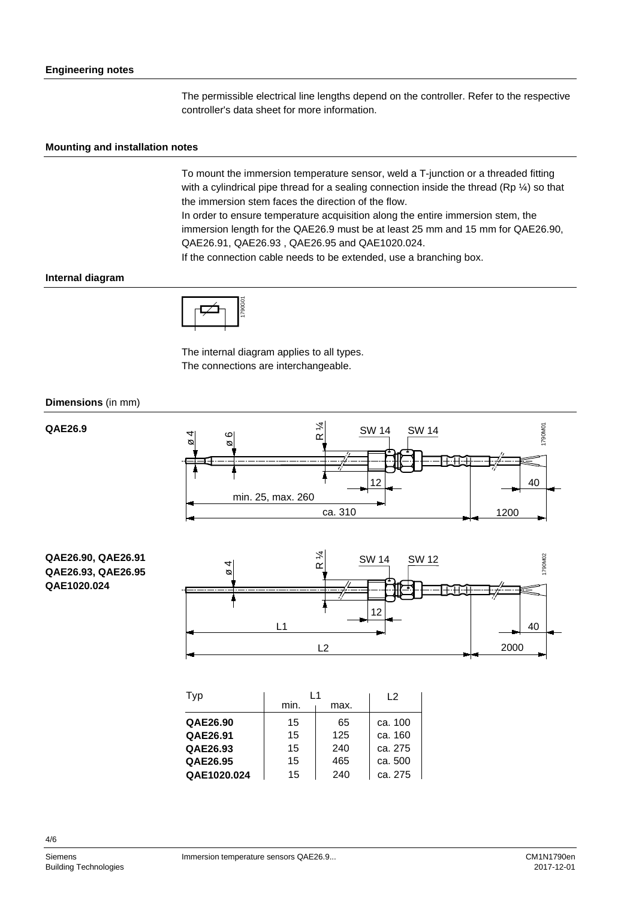The permissible electrical line lengths depend on the controller. Refer to the respective controller's data sheet for more information.

#### **Mounting and installation notes**

To mount the immersion temperature sensor, weld a T-junction or a threaded fitting with a cylindrical pipe thread for a sealing connection inside the thread (Rp  $\frac{1}{2}$ ) so that the immersion stem faces the direction of the flow.

In order to ensure temperature acquisition along the entire immersion stem, the immersion length for the QAE26.9 must be at least 25 mm and 15 mm for QAE26.90, QAE26.91, QAE26.93 , QAE26.95 and QAE1020.024.

If the connection cable needs to be extended, use a branching box.

#### **Internal diagram**



The internal diagram applies to all types. The connections are interchangeable.

#### **Dimensions** (in mm)

**QAE26.9**



#### **QAE26.90, QAE26.91 QAE26.93, QAE26.95 QAE1020.024**



| Typ         | l 1  | 12   |         |
|-------------|------|------|---------|
|             | min. | max. |         |
| QAE26.90    | 15   | 65   | ca. 100 |
| QAE26.91    | 15   | 125  | ca. 160 |
| QAE26.93    | 15   | 240  | ca. 275 |
| QAE26.95    | 15   | 465  | ca. 500 |
| QAE1020.024 | 15   | 240  | ca. 275 |